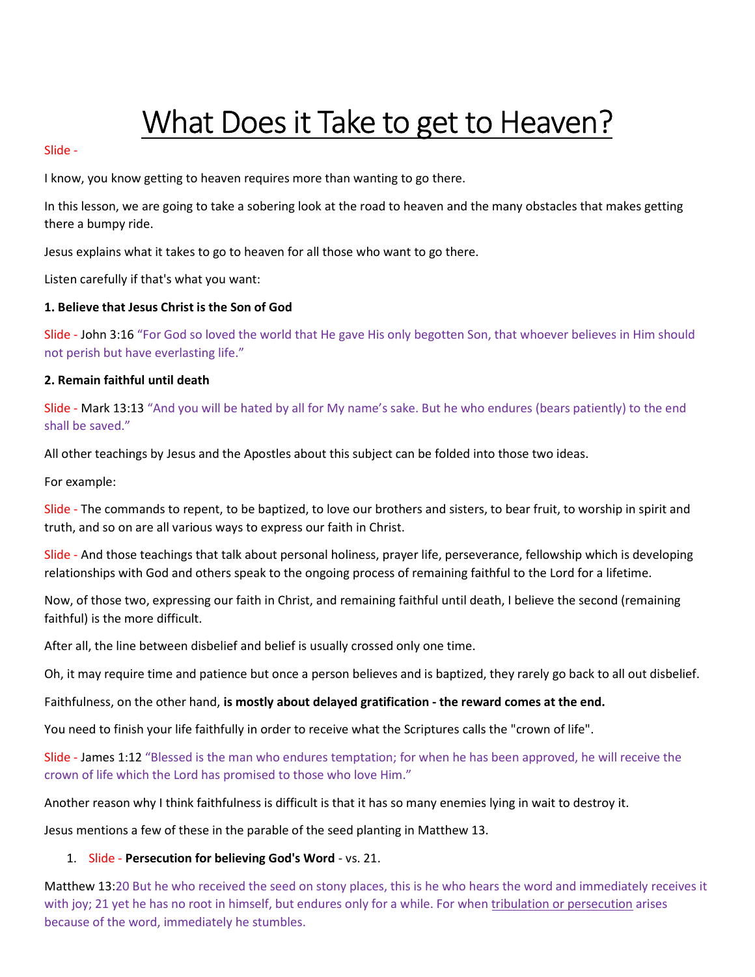# What Does it Take to get to Heaven?

#### Slide -

I know, you know getting to heaven requires more than wanting to go there.

In this lesson, we are going to take a sobering look at the road to heaven and the many obstacles that makes getting there a bumpy ride.

Jesus explains what it takes to go to heaven for all those who want to go there.

Listen carefully if that's what you want:

#### 1. Believe that Jesus Christ is the Son of God

Slide - John 3:16 "For God so loved the world that He gave His only begotten Son, that whoever believes in Him should not perish but have everlasting life."

#### 2. Remain faithful until death

Slide - Mark 13:13 "And you will be hated by all for My name's sake. But he who endures (bears patiently) to the end shall be saved."

All other teachings by Jesus and the Apostles about this subject can be folded into those two ideas.

For example:

Slide - The commands to repent, to be baptized, to love our brothers and sisters, to bear fruit, to worship in spirit and truth, and so on are all various ways to express our faith in Christ.

Slide - And those teachings that talk about personal holiness, prayer life, perseverance, fellowship which is developing relationships with God and others speak to the ongoing process of remaining faithful to the Lord for a lifetime.

Now, of those two, expressing our faith in Christ, and remaining faithful until death, I believe the second (remaining faithful) is the more difficult.

After all, the line between disbelief and belief is usually crossed only one time.

Oh, it may require time and patience but once a person believes and is baptized, they rarely go back to all out disbelief.

Faithfulness, on the other hand, is mostly about delayed gratification - the reward comes at the end.

You need to finish your life faithfully in order to receive what the Scriptures calls the "crown of life".

Slide - James 1:12 "Blessed is the man who endures temptation; for when he has been approved, he will receive the crown of life which the Lord has promised to those who love Him."

Another reason why I think faithfulness is difficult is that it has so many enemies lying in wait to destroy it.

Jesus mentions a few of these in the parable of the seed planting in Matthew 13.

#### 1. Slide - Persecution for believing God's Word - vs. 21.

Matthew 13:20 But he who received the seed on stony places, this is he who hears the word and immediately receives it with joy; 21 yet he has no root in himself, but endures only for a while. For when tribulation or persecution arises because of the word, immediately he stumbles.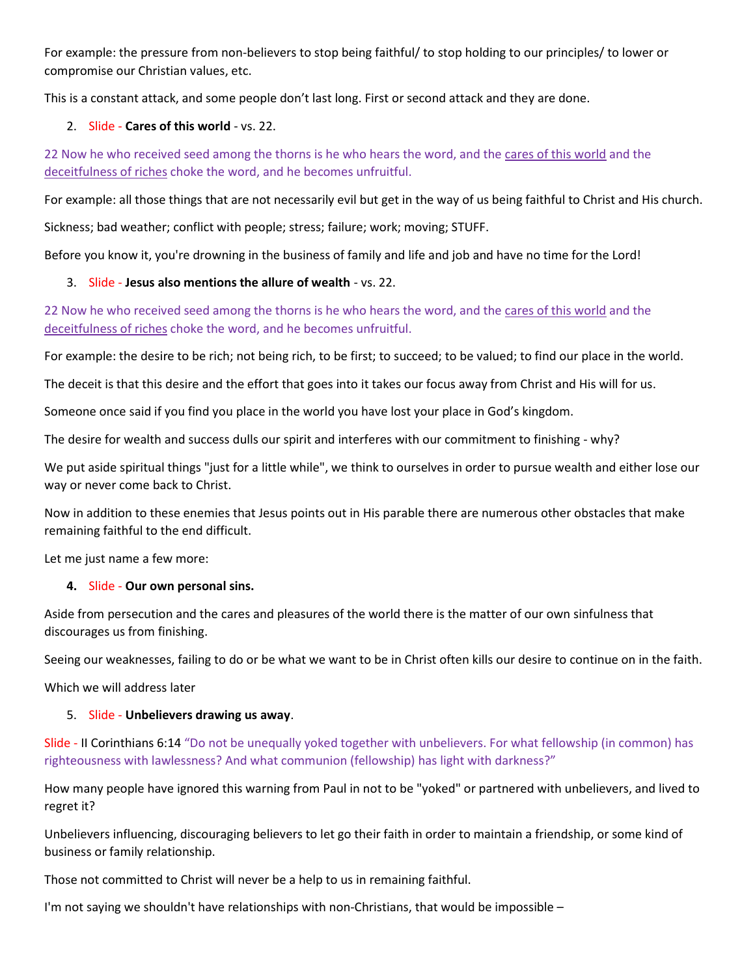For example: the pressure from non-believers to stop being faithful/ to stop holding to our principles/ to lower or compromise our Christian values, etc.

This is a constant attack, and some people don't last long. First or second attack and they are done.

## 2. Slide - Cares of this world - vs. 22.

22 Now he who received seed among the thorns is he who hears the word, and the cares of this world and the deceitfulness of riches choke the word, and he becomes unfruitful.

For example: all those things that are not necessarily evil but get in the way of us being faithful to Christ and His church.

Sickness; bad weather; conflict with people; stress; failure; work; moving; STUFF.

Before you know it, you're drowning in the business of family and life and job and have no time for the Lord!

## 3. Slide - Jesus also mentions the allure of wealth - vs. 22.

22 Now he who received seed among the thorns is he who hears the word, and the cares of this world and the deceitfulness of riches choke the word, and he becomes unfruitful.

For example: the desire to be rich; not being rich, to be first; to succeed; to be valued; to find our place in the world.

The deceit is that this desire and the effort that goes into it takes our focus away from Christ and His will for us.

Someone once said if you find you place in the world you have lost your place in God's kingdom.

The desire for wealth and success dulls our spirit and interferes with our commitment to finishing - why?

We put aside spiritual things "just for a little while", we think to ourselves in order to pursue wealth and either lose our way or never come back to Christ.

Now in addition to these enemies that Jesus points out in His parable there are numerous other obstacles that make remaining faithful to the end difficult.

Let me just name a few more:

#### 4. Slide - Our own personal sins.

Aside from persecution and the cares and pleasures of the world there is the matter of our own sinfulness that discourages us from finishing.

Seeing our weaknesses, failing to do or be what we want to be in Christ often kills our desire to continue on in the faith.

Which we will address later

### 5. Slide - Unbelievers drawing us away.

Slide - II Corinthians 6:14 "Do not be unequally yoked together with unbelievers. For what fellowship (in common) has righteousness with lawlessness? And what communion (fellowship) has light with darkness?"

How many people have ignored this warning from Paul in not to be "yoked" or partnered with unbelievers, and lived to regret it?

Unbelievers influencing, discouraging believers to let go their faith in order to maintain a friendship, or some kind of business or family relationship.

Those not committed to Christ will never be a help to us in remaining faithful.

I'm not saying we shouldn't have relationships with non-Christians, that would be impossible –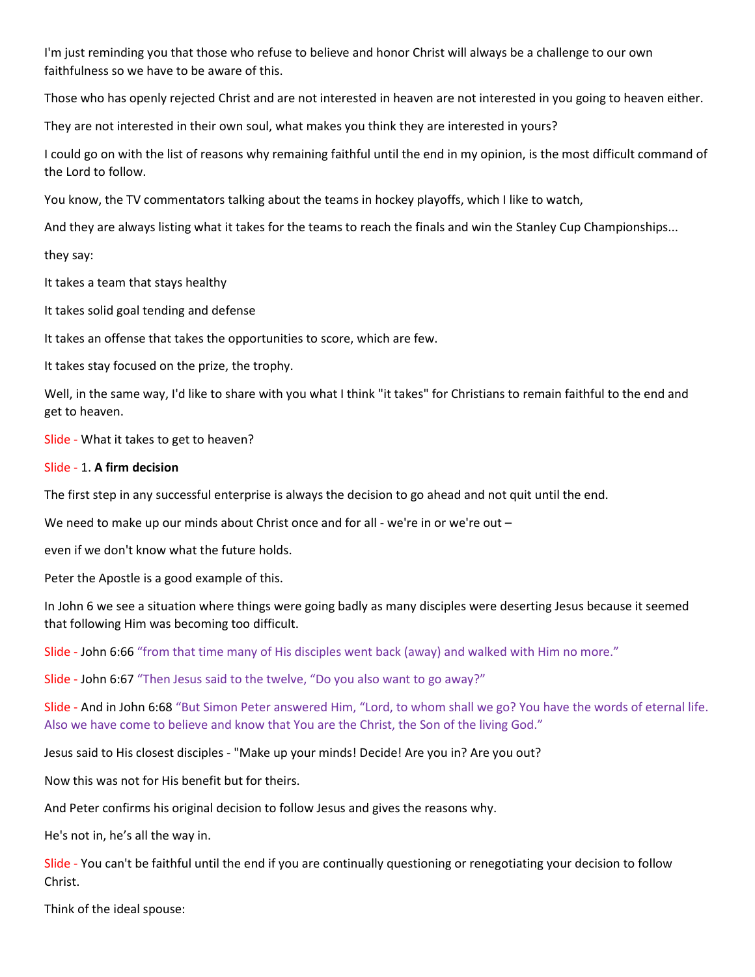I'm just reminding you that those who refuse to believe and honor Christ will always be a challenge to our own faithfulness so we have to be aware of this.

Those who has openly rejected Christ and are not interested in heaven are not interested in you going to heaven either.

They are not interested in their own soul, what makes you think they are interested in yours?

I could go on with the list of reasons why remaining faithful until the end in my opinion, is the most difficult command of the Lord to follow.

You know, the TV commentators talking about the teams in hockey playoffs, which I like to watch,

And they are always listing what it takes for the teams to reach the finals and win the Stanley Cup Championships...

#### they say:

It takes a team that stays healthy

It takes solid goal tending and defense

It takes an offense that takes the opportunities to score, which are few.

It takes stay focused on the prize, the trophy.

Well, in the same way, I'd like to share with you what I think "it takes" for Christians to remain faithful to the end and get to heaven.

Slide - What it takes to get to heaven?

#### Slide - 1. A firm decision

The first step in any successful enterprise is always the decision to go ahead and not quit until the end.

We need to make up our minds about Christ once and for all - we're in or we're out -

even if we don't know what the future holds.

Peter the Apostle is a good example of this.

In John 6 we see a situation where things were going badly as many disciples were deserting Jesus because it seemed that following Him was becoming too difficult.

Slide - John 6:66 "from that time many of His disciples went back (away) and walked with Him no more."

Slide - John 6:67 "Then Jesus said to the twelve, "Do you also want to go away?"

Slide - And in John 6:68 "But Simon Peter answered Him, "Lord, to whom shall we go? You have the words of eternal life. Also we have come to believe and know that You are the Christ, the Son of the living God."

Jesus said to His closest disciples - "Make up your minds! Decide! Are you in? Are you out?

Now this was not for His benefit but for theirs.

And Peter confirms his original decision to follow Jesus and gives the reasons why.

He's not in, he's all the way in.

Slide - You can't be faithful until the end if you are continually questioning or renegotiating your decision to follow Christ.

Think of the ideal spouse: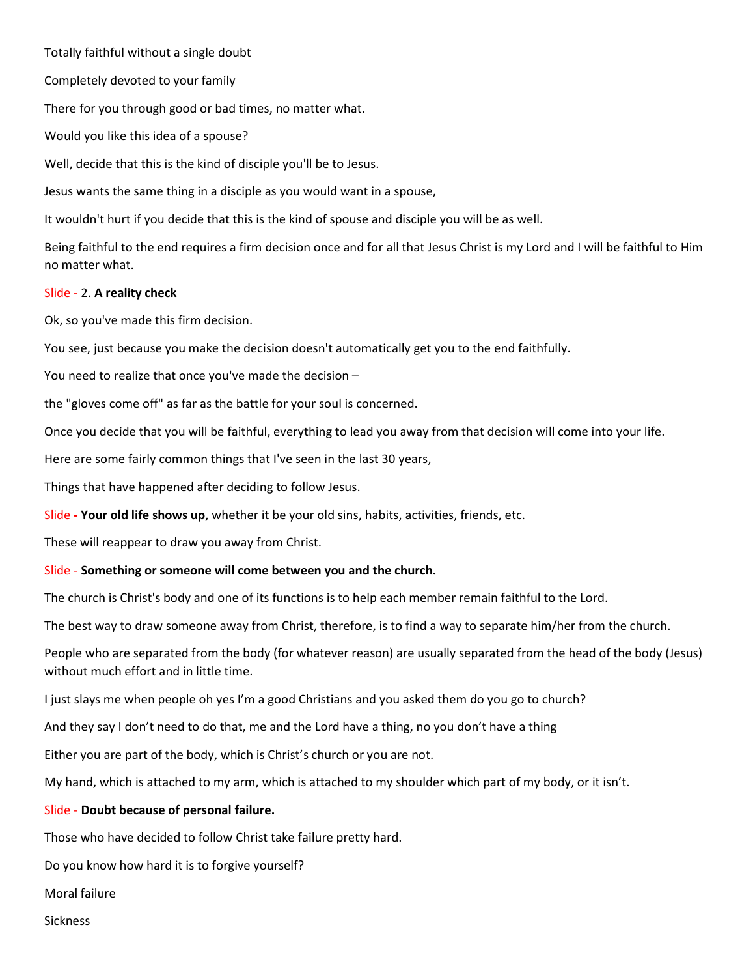Totally faithful without a single doubt

Completely devoted to your family

There for you through good or bad times, no matter what.

Would you like this idea of a spouse?

Well, decide that this is the kind of disciple you'll be to Jesus.

Jesus wants the same thing in a disciple as you would want in a spouse,

It wouldn't hurt if you decide that this is the kind of spouse and disciple you will be as well.

Being faithful to the end requires a firm decision once and for all that Jesus Christ is my Lord and I will be faithful to Him no matter what.

## Slide - 2. A reality check

Ok, so you've made this firm decision.

You see, just because you make the decision doesn't automatically get you to the end faithfully.

You need to realize that once you've made the decision –

the "gloves come off" as far as the battle for your soul is concerned.

Once you decide that you will be faithful, everything to lead you away from that decision will come into your life.

Here are some fairly common things that I've seen in the last 30 years,

Things that have happened after deciding to follow Jesus.

Slide - Your old life shows up, whether it be your old sins, habits, activities, friends, etc.

These will reappear to draw you away from Christ.

# Slide - Something or someone will come between you and the church.

The church is Christ's body and one of its functions is to help each member remain faithful to the Lord.

The best way to draw someone away from Christ, therefore, is to find a way to separate him/her from the church.

People who are separated from the body (for whatever reason) are usually separated from the head of the body (Jesus) without much effort and in little time.

I just slays me when people oh yes I'm a good Christians and you asked them do you go to church?

And they say I don't need to do that, me and the Lord have a thing, no you don't have a thing

Either you are part of the body, which is Christ's church or you are not.

My hand, which is attached to my arm, which is attached to my shoulder which part of my body, or it isn't.

#### Slide - Doubt because of personal failure.

Those who have decided to follow Christ take failure pretty hard.

Do you know how hard it is to forgive yourself?

Moral failure

Sickness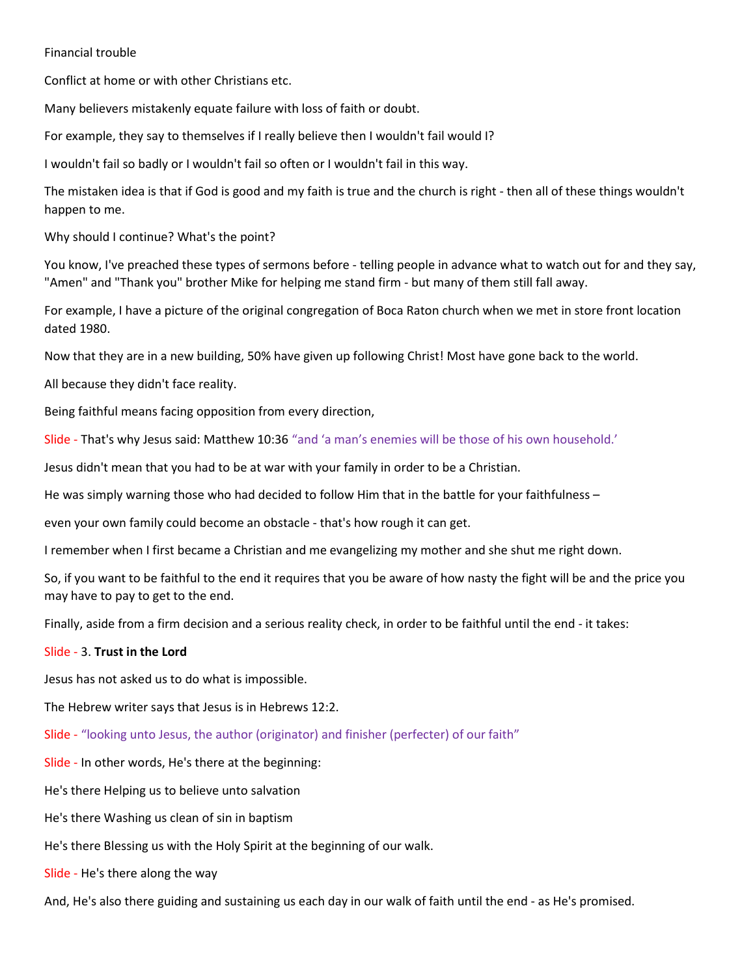#### Financial trouble

Conflict at home or with other Christians etc.

Many believers mistakenly equate failure with loss of faith or doubt.

For example, they say to themselves if I really believe then I wouldn't fail would I?

I wouldn't fail so badly or I wouldn't fail so often or I wouldn't fail in this way.

The mistaken idea is that if God is good and my faith is true and the church is right - then all of these things wouldn't happen to me.

Why should I continue? What's the point?

You know, I've preached these types of sermons before - telling people in advance what to watch out for and they say, "Amen" and "Thank you" brother Mike for helping me stand firm - but many of them still fall away.

For example, I have a picture of the original congregation of Boca Raton church when we met in store front location dated 1980.

Now that they are in a new building, 50% have given up following Christ! Most have gone back to the world.

All because they didn't face reality.

Being faithful means facing opposition from every direction,

Slide - That's why Jesus said: Matthew 10:36 "and 'a man's enemies will be those of his own household.'

Jesus didn't mean that you had to be at war with your family in order to be a Christian.

He was simply warning those who had decided to follow Him that in the battle for your faithfulness –

even your own family could become an obstacle - that's how rough it can get.

I remember when I first became a Christian and me evangelizing my mother and she shut me right down.

So, if you want to be faithful to the end it requires that you be aware of how nasty the fight will be and the price you may have to pay to get to the end.

Finally, aside from a firm decision and a serious reality check, in order to be faithful until the end - it takes:

#### Slide - 3. Trust in the Lord

Jesus has not asked us to do what is impossible.

The Hebrew writer says that Jesus is in Hebrews 12:2.

Slide - "looking unto Jesus, the author (originator) and finisher (perfecter) of our faith"

Slide - In other words, He's there at the beginning:

He's there Helping us to believe unto salvation

He's there Washing us clean of sin in baptism

He's there Blessing us with the Holy Spirit at the beginning of our walk.

Slide - He's there along the way

And, He's also there guiding and sustaining us each day in our walk of faith until the end - as He's promised.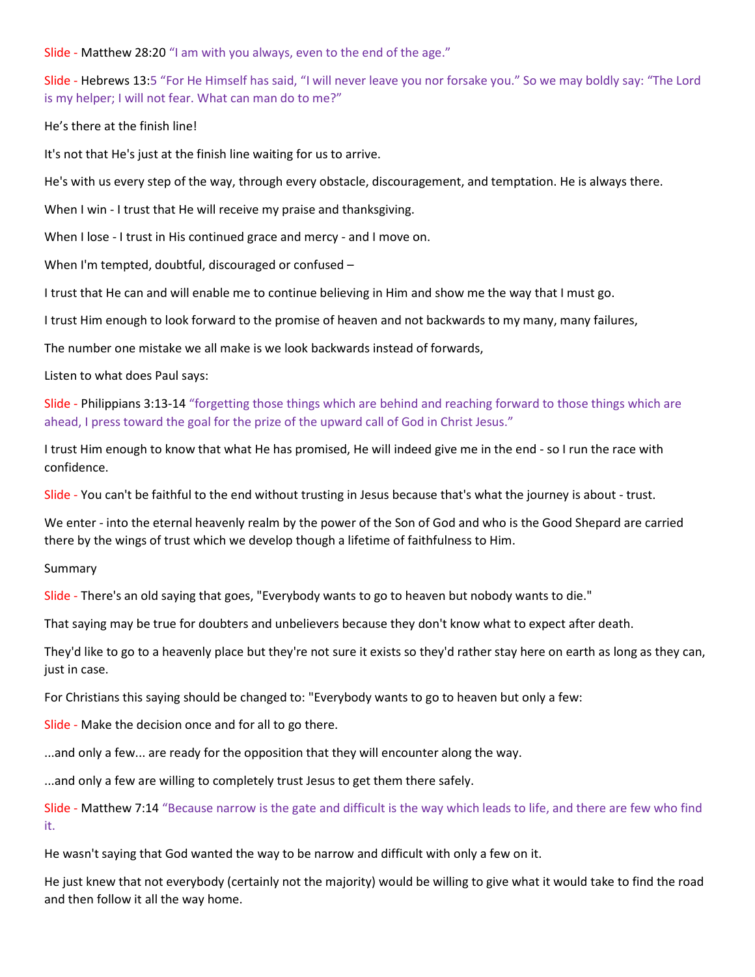Slide - Matthew 28:20 "I am with you always, even to the end of the age."

Slide - Hebrews 13:5 "For He Himself has said, "I will never leave you nor forsake you." So we may boldly say: "The Lord is my helper; I will not fear. What can man do to me?"

He's there at the finish line!

It's not that He's just at the finish line waiting for us to arrive.

He's with us every step of the way, through every obstacle, discouragement, and temptation. He is always there.

When I win - I trust that He will receive my praise and thanksgiving.

When I lose - I trust in His continued grace and mercy - and I move on.

When I'm tempted, doubtful, discouraged or confused –

I trust that He can and will enable me to continue believing in Him and show me the way that I must go.

I trust Him enough to look forward to the promise of heaven and not backwards to my many, many failures,

The number one mistake we all make is we look backwards instead of forwards,

Listen to what does Paul says:

Slide - Philippians 3:13-14 "forgetting those things which are behind and reaching forward to those things which are ahead, I press toward the goal for the prize of the upward call of God in Christ Jesus."

I trust Him enough to know that what He has promised, He will indeed give me in the end - so I run the race with confidence.

Slide - You can't be faithful to the end without trusting in Jesus because that's what the journey is about - trust.

We enter - into the eternal heavenly realm by the power of the Son of God and who is the Good Shepard are carried there by the wings of trust which we develop though a lifetime of faithfulness to Him.

Summary

Slide - There's an old saying that goes, "Everybody wants to go to heaven but nobody wants to die."

That saying may be true for doubters and unbelievers because they don't know what to expect after death.

They'd like to go to a heavenly place but they're not sure it exists so they'd rather stay here on earth as long as they can, just in case.

For Christians this saying should be changed to: "Everybody wants to go to heaven but only a few:

Slide - Make the decision once and for all to go there.

...and only a few... are ready for the opposition that they will encounter along the way.

...and only a few are willing to completely trust Jesus to get them there safely.

Slide - Matthew 7:14 "Because narrow is the gate and difficult is the way which leads to life, and there are few who find it.

He wasn't saying that God wanted the way to be narrow and difficult with only a few on it.

He just knew that not everybody (certainly not the majority) would be willing to give what it would take to find the road and then follow it all the way home.